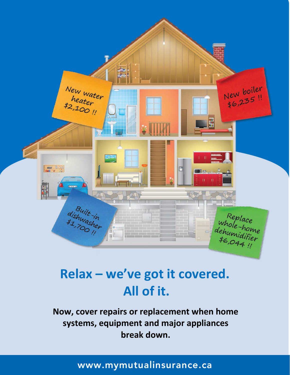

# **Relax – we've got it covered. All of it.**

**Now, cover repairs or replacement when home systems, equipment and major appliances break down.**

# www.mymutualinsurance.ca